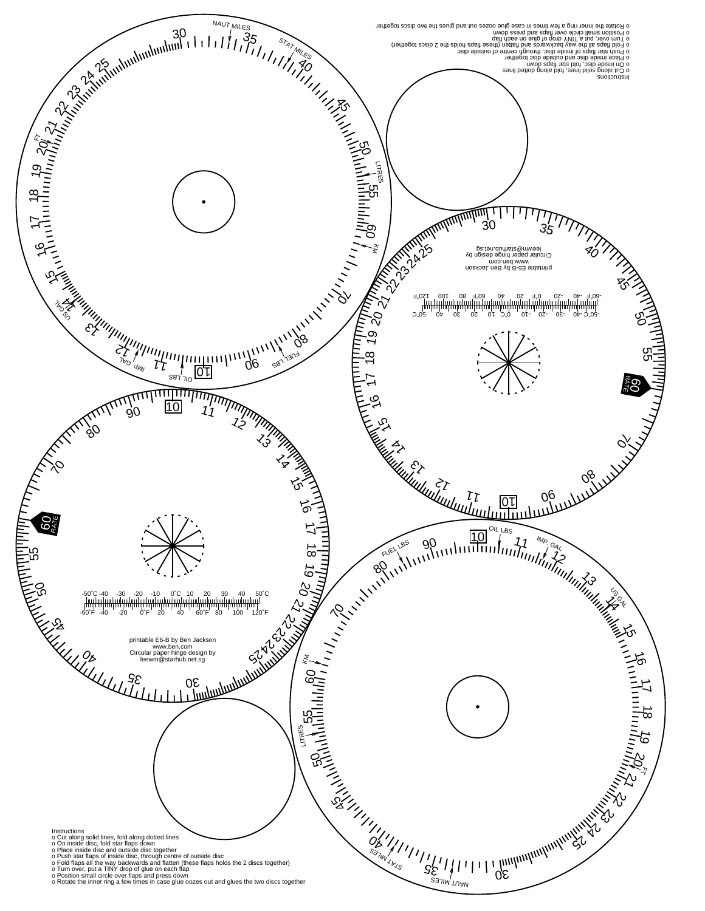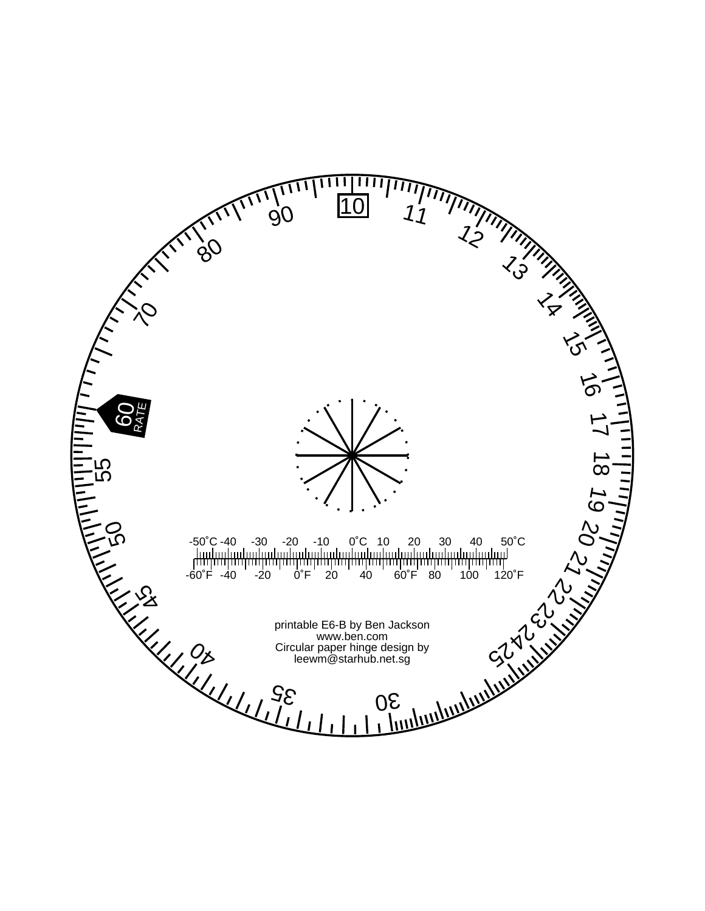ш  $\mathbf{I}$ '' - $\begin{array}{cc} 10 & 11 \end{array}$ 90 TV  $7\frac{1}{5}$  $7<sub>3</sub>$  $\frac{1}{8}$  $\gamma$  $\mathcal{L}_{\mathcal{C}}$  $\overrightarrow{5}$ **GO<sub>FE</sub>** بر<br>ا - 55<br>50<br>50  $\overline{\infty}$ 19  $\frac{\delta}{\delta}$ -50˚C -40 -30 -20 -10 0˚C 10 20 30 40 50˚C بر<br>-<br>--60˚F -40 -20 0˚F 20 40 60˚F 80 100 120˚F 22 23 24  $\mathcal{S}_{\mathcal{S}}$ printable E6-B by Ben Jackson www.ben.com  $\frac{0}{2}$ Circular paper hinge design by leewm@starhub.net.sg $35$ 30